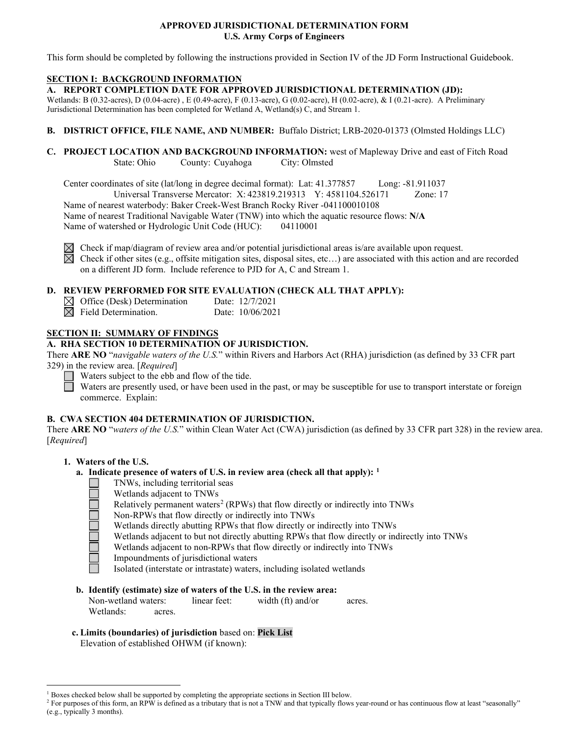# **APPROVED JURISDICTIONAL DETERMINATION FORM U.S. Army Corps of Engineers**

This form should be completed by following the instructions provided in Section IV of the JD Form Instructional Guidebook.

# **SECTION I: BACKGROUND INFORMATION**

#### **A. REPORT COMPLETION DATE FOR APPROVED JURISDICTIONAL DETERMINATION (JD):**

Wetlands: B (0.32-acres), D (0.04-acre) , E (0.49-acre), F (0.13-acre), G (0.02-acre), H (0.02-acre), & I (0.21-acre). A Preliminary Jurisdictional Determination has been completed for Wetland A, Wetland(s) C, and Stream 1.

#### **B. DISTRICT OFFICE, FILE NAME, AND NUMBER:** Buffalo District; LRB-2020-01373 (Olmsted Holdings LLC)

**C. PROJECT LOCATION AND BACKGROUND INFORMATION:** west of Mapleway Drive and east of Fitch Road State: Ohio County: Cuyahoga City: Olmsted

Center coordinates of site (lat/long in degree decimal format): Lat: 41.377857 Long: -81.911037 Universal Transverse Mercator: X: 423819.219313 Y: 4581104.526171 Zone: 17 Name of nearest waterbody: Baker Creek-West Branch Rocky River -041100010108

Name of nearest Traditional Navigable Water (TNW) into which the aquatic resource flows: **N/A** Name of watershed or Hydrologic Unit Code (HUC): 04110001



 $\boxtimes$  Check if map/diagram of review area and/or potential jurisdictional areas is/are available upon request.

 $\boxtimes$  Check if other sites (e.g., offsite mitigation sites, disposal sites, etc...) are associated with this action and are recorded on a different JD form. Include reference to PJD for A, C and Stream 1.

## **D. REVIEW PERFORMED FOR SITE EVALUATION (CHECK ALL THAT APPLY):**

| $\boxtimes$ Office (Desk) Determination | Date: 12/7/2021  |
|-----------------------------------------|------------------|
| $\boxtimes$ Field Determination.        | Date: 10/06/2021 |

#### **SECTION II: SUMMARY OF FINDINGS**

#### **A. RHA SECTION 10 DETERMINATION OF JURISDICTION.**

There **ARE NO** "*navigable waters of the U.S.*" within Rivers and Harbors Act (RHA) jurisdiction (as defined by 33 CFR part 329) in the review area. [*Required*]

Waters subject to the ebb and flow of the tide.

 $\Box$ Waters are presently used, or have been used in the past, or may be susceptible for use to transport interstate or foreign commerce. Explain:

# **B. CWA SECTION 404 DETERMINATION OF JURISDICTION.**

There **ARE NO** "*waters of the U.S.*" within Clean Water Act (CWA) jurisdiction (as defined by 33 CFR part 328) in the review area. [*Required*]

# **1. Waters of the U.S.**

# **a. Indicate presence of waters of U.S. in review area (check all that apply): [1](#page-0-0)**

- TNWs, including territorial seas
	- Wetlands adjacent to TNWs
	- Relatively permanent waters<sup>[2](#page-0-1)</sup> (RPWs) that flow directly or indirectly into TNWs
	- Non-RPWs that flow directly or indirectly into TNWs
	- Wetlands directly abutting RPWs that flow directly or indirectly into TNWs
	- Wetlands adjacent to but not directly abutting RPWs that flow directly or indirectly into TNWs
	- Wetlands adjacent to non-RPWs that flow directly or indirectly into TNWs
- Impoundments of jurisdictional waters

Isolated (interstate or intrastate) waters, including isolated wetlands

#### **b. Identify (estimate) size of waters of the U.S. in the review area:**

Non-wetland waters: linear feet: width (ft) and/or acres. Wetlands: acres.

**c. Limits (boundaries) of jurisdiction** based on: **Pick List**

Elevation of established OHWM (if known):

 $1$  Boxes checked below shall be supported by completing the appropriate sections in Section III below.

<span id="page-0-1"></span><span id="page-0-0"></span><sup>&</sup>lt;sup>2</sup> For purposes of this form, an RPW is defined as a tributary that is not a TNW and that typically flows year-round or has continuous flow at least "seasonally" (e.g., typically 3 months).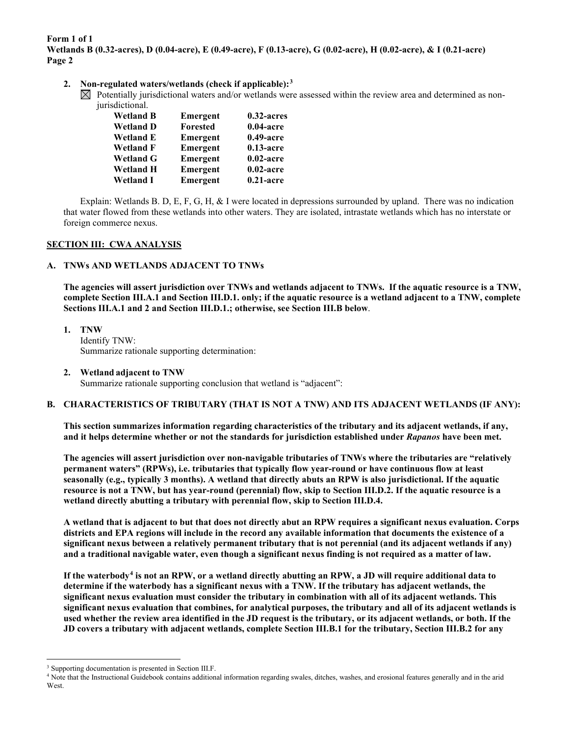#### **2. Non-regulated waters/wetlands (check if applicable):[3](#page-1-0)**

 $\boxtimes$  Potentially jurisdictional waters and/or wetlands were assessed within the review area and determined as nonjurisdictional.

| <b>Wetland B</b> | <b>Emergent</b> | $0.32$ -acres |
|------------------|-----------------|---------------|
| <b>Wetland D</b> | <b>Forested</b> | $0.04$ -acre  |
| <b>Wetland E</b> | <b>Emergent</b> | $0.49$ -acre  |
| <b>Wetland F</b> | <b>Emergent</b> | $0.13$ -acre  |
| <b>Wetland G</b> | <b>Emergent</b> | $0.02$ -acre  |
| <b>Wetland H</b> | <b>Emergent</b> | $0.02$ -acre  |
| <b>Wetland I</b> | <b>Emergent</b> | $0.21$ -acre  |

Explain: Wetlands B. D, E, F, G, H, & I were located in depressions surrounded by upland. There was no indication that water flowed from these wetlands into other waters. They are isolated, intrastate wetlands which has no interstate or foreign commerce nexus.

#### **SECTION III: CWA ANALYSIS**

#### **A. TNWs AND WETLANDS ADJACENT TO TNWs**

**The agencies will assert jurisdiction over TNWs and wetlands adjacent to TNWs. If the aquatic resource is a TNW, complete Section III.A.1 and Section III.D.1. only; if the aquatic resource is a wetland adjacent to a TNW, complete Sections III.A.1 and 2 and Section III.D.1.; otherwise, see Section III.B below**.

**1. TNW**  Identify TNW: Summarize rationale supporting determination:

#### **2. Wetland adjacent to TNW**

Summarize rationale supporting conclusion that wetland is "adjacent":

#### **B. CHARACTERISTICS OF TRIBUTARY (THAT IS NOT A TNW) AND ITS ADJACENT WETLANDS (IF ANY):**

**This section summarizes information regarding characteristics of the tributary and its adjacent wetlands, if any, and it helps determine whether or not the standards for jurisdiction established under** *Rapanos* **have been met.** 

**The agencies will assert jurisdiction over non-navigable tributaries of TNWs where the tributaries are "relatively permanent waters" (RPWs), i.e. tributaries that typically flow year-round or have continuous flow at least seasonally (e.g., typically 3 months). A wetland that directly abuts an RPW is also jurisdictional. If the aquatic resource is not a TNW, but has year-round (perennial) flow, skip to Section III.D.2. If the aquatic resource is a wetland directly abutting a tributary with perennial flow, skip to Section III.D.4.** 

**A wetland that is adjacent to but that does not directly abut an RPW requires a significant nexus evaluation. Corps districts and EPA regions will include in the record any available information that documents the existence of a significant nexus between a relatively permanent tributary that is not perennial (and its adjacent wetlands if any) and a traditional navigable water, even though a significant nexus finding is not required as a matter of law.**

**If the waterbody[4](#page-1-1) is not an RPW, or a wetland directly abutting an RPW, a JD will require additional data to determine if the waterbody has a significant nexus with a TNW. If the tributary has adjacent wetlands, the significant nexus evaluation must consider the tributary in combination with all of its adjacent wetlands. This significant nexus evaluation that combines, for analytical purposes, the tributary and all of its adjacent wetlands is used whether the review area identified in the JD request is the tributary, or its adjacent wetlands, or both. If the JD covers a tributary with adjacent wetlands, complete Section III.B.1 for the tributary, Section III.B.2 for any** 

<span id="page-1-0"></span><sup>&</sup>lt;sup>3</sup> Supporting documentation is presented in Section III.F.

<span id="page-1-1"></span><sup>4</sup> Note that the Instructional Guidebook contains additional information regarding swales, ditches, washes, and erosional features generally and in the arid **West**.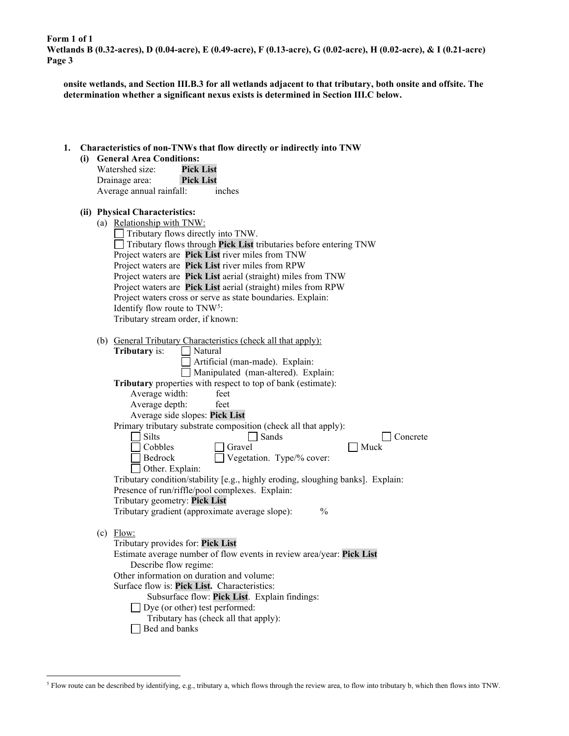**onsite wetlands, and Section III.B.3 for all wetlands adjacent to that tributary, both onsite and offsite. The determination whether a significant nexus exists is determined in Section III.C below.**

- **1. Characteristics of non-TNWs that flow directly or indirectly into TNW**
	- **(i) General Area Conditions:** Watershed size: **Pick List**

| Drainage area:           | <b>Pick List</b> |        |
|--------------------------|------------------|--------|
| Average annual rainfall: |                  | inches |

## **(ii) Physical Characteristics:**

| (a) Relationship with TNW:                                                      |  |  |
|---------------------------------------------------------------------------------|--|--|
| Tributary flows directly into TNW.                                              |  |  |
| Tributary flows through Pick List tributaries before entering TNW               |  |  |
| Project waters are Pick List river miles from TNW                               |  |  |
| Project waters are Pick List river miles from RPW                               |  |  |
| Project waters are Pick List aerial (straight) miles from TNW                   |  |  |
| Project waters are Pick List aerial (straight) miles from RPW                   |  |  |
| Project waters cross or serve as state boundaries. Explain:                     |  |  |
| Identify flow route to TNW <sup>5</sup> :                                       |  |  |
| Tributary stream order, if known:                                               |  |  |
|                                                                                 |  |  |
| (b) General Tributary Characteristics (check all that apply):                   |  |  |
| Natural<br><b>Tributary</b> is:                                                 |  |  |
| Artificial (man-made). Explain:                                                 |  |  |
| Manipulated (man-altered). Explain:                                             |  |  |
| Tributary properties with respect to top of bank (estimate):                    |  |  |
| Average width:<br>feet                                                          |  |  |
| Average depth:<br>feet                                                          |  |  |
| Average side slopes: Pick List                                                  |  |  |
| Primary tributary substrate composition (check all that apply):                 |  |  |
| <b>Silts</b><br>Sands<br>Concrete                                               |  |  |
| Cobbles<br>Muck<br>Gravel                                                       |  |  |
| Vegetation. Type/% cover:<br>Bedrock                                            |  |  |
| Other. Explain:                                                                 |  |  |
| Tributary condition/stability [e.g., highly eroding, sloughing banks]. Explain: |  |  |
| Presence of run/riffle/pool complexes. Explain:                                 |  |  |
| Tributary geometry: Pick List                                                   |  |  |
| $\frac{0}{0}$<br>Tributary gradient (approximate average slope):                |  |  |
|                                                                                 |  |  |
| $(c)$ Flow:                                                                     |  |  |
| Tributary provides for: Pick List                                               |  |  |
| Estimate average number of flow events in review area/year: Pick List           |  |  |
| Describe flow regime:<br>Other information on duration and volume:              |  |  |
| Surface flow is: Pick List. Characteristics:                                    |  |  |
|                                                                                 |  |  |
| Subsurface flow: Pick List. Explain findings:<br>Dye (or other) test performed: |  |  |
|                                                                                 |  |  |

Tributary has (check all that apply):

Bed and banks

<span id="page-2-0"></span><sup>5</sup> Flow route can be described by identifying, e.g., tributary a, which flows through the review area, to flow into tributary b, which then flows into TNW.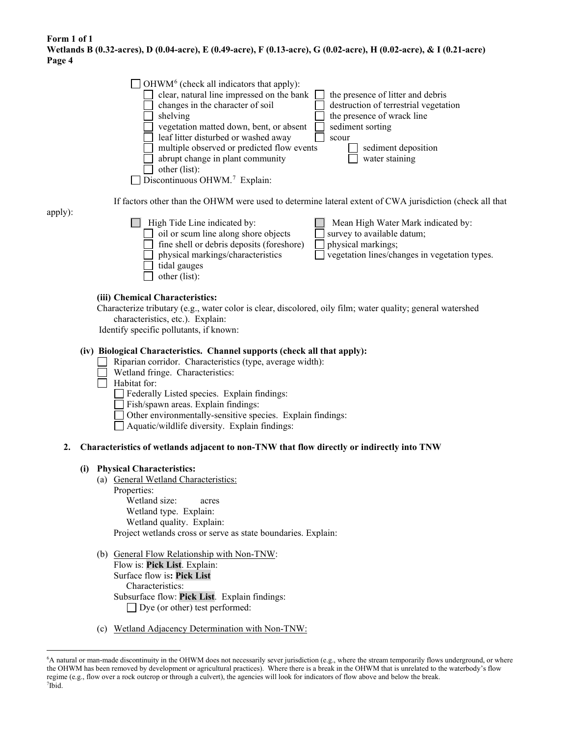|         | $OHWM6$ (check all indicators that apply):<br>clear, natural line impressed on the bank<br>the presence of litter and debris<br>changes in the character of soil<br>destruction of terrestrial vegetation<br>the presence of wrack line<br>shelving<br>sediment sorting<br>vegetation matted down, bent, or absent<br>leaf litter disturbed or washed away<br>scour<br>multiple observed or predicted flow events<br>sediment deposition<br>abrupt change in plant community<br>water staining<br>other (list):<br>Discontinuous OHWM. <sup>7</sup> Explain: |
|---------|--------------------------------------------------------------------------------------------------------------------------------------------------------------------------------------------------------------------------------------------------------------------------------------------------------------------------------------------------------------------------------------------------------------------------------------------------------------------------------------------------------------------------------------------------------------|
|         | If factors other than the OHWM were used to determine lateral extent of CWA jurisdiction (check all that                                                                                                                                                                                                                                                                                                                                                                                                                                                     |
| apply): | Mean High Water Mark indicated by:<br>High Tide Line indicated by:<br>oil or scum line along shore objects<br>survey to available datum;<br>fine shell or debris deposits (foreshore)<br>physical markings;<br>physical markings/characteristics<br>vegetation lines/changes in vegetation types.<br>tidal gauges<br>other (list):                                                                                                                                                                                                                           |
|         | (iii) Chemical Characteristics:<br>Characterize tributary (e.g., water color is clear, discolored, oily film; water quality; general watershed<br>characteristics, etc.). Explain:<br>Identify specific pollutants, if known:                                                                                                                                                                                                                                                                                                                                |
|         | (iv) Biological Characteristics. Channel supports (check all that apply):<br>Riparian corridor. Characteristics (type, average width):<br>Wetland fringe. Characteristics:<br>Habitat for:<br>Federally Listed species. Explain findings:<br>Fish/spawn areas. Explain findings:<br>Other environmentally-sensitive species. Explain findings:<br>Aquatic/wildlife diversity. Explain findings:                                                                                                                                                              |
| 2.      | Characteristics of wetlands adjacent to non-TNW that flow directly or indirectly into TNW                                                                                                                                                                                                                                                                                                                                                                                                                                                                    |
|         | <b>Physical Characteristics:</b><br>(i)<br>(a) General Wetland Characteristics:<br>Properties:<br>Wetland size:<br>acres<br>Wetland type. Explain:<br>Wetland quality. Explain:<br>Project wetlands cross or serve as state boundaries. Explain:                                                                                                                                                                                                                                                                                                             |
|         | (b) General Flow Relationship with Non-TNW:<br>Flow is: Pick List. Explain:<br>Surface flow is: Pick List<br>Characteristics:<br>Subsurface flow: Pick List. Explain findings:                                                                                                                                                                                                                                                                                                                                                                               |

□ Dye (or other) test performed:

(c) Wetland Adjacency Determination with Non-TNW:

<span id="page-3-1"></span><span id="page-3-0"></span><sup>6</sup> A natural or man-made discontinuity in the OHWM does not necessarily sever jurisdiction (e.g., where the stream temporarily flows underground, or where the OHWM has been removed by development or agricultural practices). Where there is a break in the OHWM that is unrelated to the waterbody's flow regime (e.g., flow over a rock outcrop or through a culvert), the agencies will look for indicators of flow above and below the break. 7 Ibid.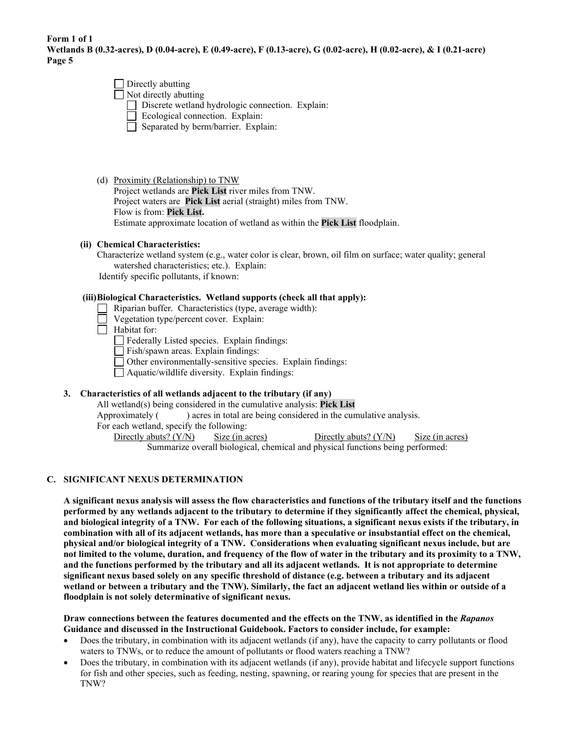| $\Box$ Directly abutting                         |  |  |
|--------------------------------------------------|--|--|
| $\Box$ Not directly abutting                     |  |  |
| Discrete wetland hydrologic connection. Explain: |  |  |
| Ecological connection. Explain:                  |  |  |
| $\Box$ Separated by berm/barrier. Explain:       |  |  |

(d) Proximity (Relationship) to TNW Project wetlands are **Pick List** river miles from TNW. Project waters are **Pick List** aerial (straight) miles from TNW. Flow is from: **Pick List.** Estimate approximate location of wetland as within the **Pick List** floodplain.

# **(ii) Chemical Characteristics:**

Characterize wetland system (e.g., water color is clear, brown, oil film on surface; water quality; general watershed characteristics; etc.). Explain:

Identify specific pollutants, if known:

### **(iii)Biological Characteristics. Wetland supports (check all that apply):**

- Riparian buffer. Characteristics (type, average width):
- Vegetation type/percent cover. Explain:
- $\Box$  Habitat for:

Federally Listed species. Explain findings:

 $\Box$  Fish/spawn areas. Explain findings:

Other environmentally-sensitive species. Explain findings:

 $\Box$  Aquatic/wildlife diversity. Explain findings:

## **3. Characteristics of all wetlands adjacent to the tributary (if any)**

All wetland(s) being considered in the cumulative analysis: **Pick List**

Approximately () acres in total are being considered in the cumulative analysis.

For each wetland, specify the following:

Directly abuts? (Y/N) Size (in acres) Directly abuts? (Y/N) Size (in acres) Summarize overall biological, chemical and physical functions being performed:

## **C. SIGNIFICANT NEXUS DETERMINATION**

**A significant nexus analysis will assess the flow characteristics and functions of the tributary itself and the functions performed by any wetlands adjacent to the tributary to determine if they significantly affect the chemical, physical, and biological integrity of a TNW. For each of the following situations, a significant nexus exists if the tributary, in combination with all of its adjacent wetlands, has more than a speculative or insubstantial effect on the chemical, physical and/or biological integrity of a TNW. Considerations when evaluating significant nexus include, but are not limited to the volume, duration, and frequency of the flow of water in the tributary and its proximity to a TNW, and the functions performed by the tributary and all its adjacent wetlands. It is not appropriate to determine significant nexus based solely on any specific threshold of distance (e.g. between a tributary and its adjacent wetland or between a tributary and the TNW). Similarly, the fact an adjacent wetland lies within or outside of a floodplain is not solely determinative of significant nexus.** 

#### **Draw connections between the features documented and the effects on the TNW, as identified in the** *Rapanos* **Guidance and discussed in the Instructional Guidebook. Factors to consider include, for example:**

- Does the tributary, in combination with its adjacent wetlands (if any), have the capacity to carry pollutants or flood waters to TNWs, or to reduce the amount of pollutants or flood waters reaching a TNW?
- Does the tributary, in combination with its adjacent wetlands (if any), provide habitat and lifecycle support functions for fish and other species, such as feeding, nesting, spawning, or rearing young for species that are present in the TNW?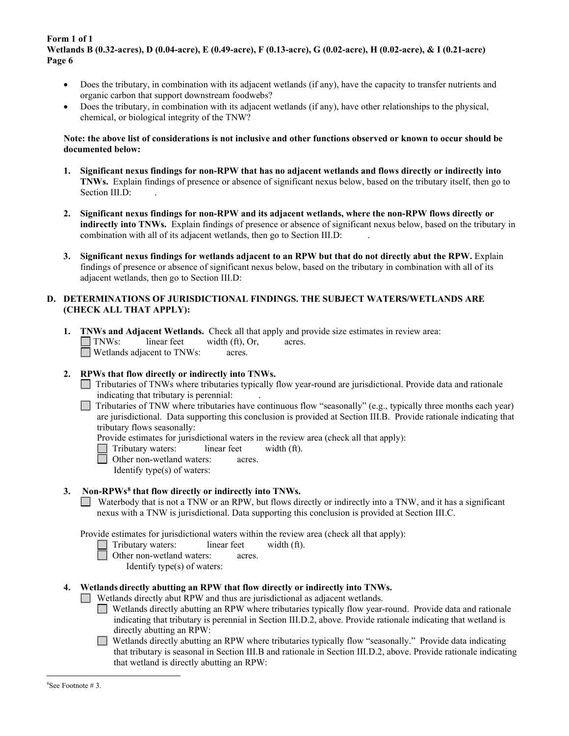- Does the tributary, in combination with its adjacent wetlands (if any), have the capacity to transfer nutrients and organic carbon that support downstream foodwebs?
- Does the tributary, in combination with its adjacent wetlands (if any), have other relationships to the physical, chemical, or biological integrity of the TNW?

## **Note: the above list of considerations is not inclusive and other functions observed or known to occur should be documented below:**

- **1. Significant nexus findings for non-RPW that has no adjacent wetlands and flows directly or indirectly into TNWs.** Explain findings of presence or absence of significant nexus below, based on the tributary itself, then go to Section III.D:
- **2. Significant nexus findings for non-RPW and its adjacent wetlands, where the non-RPW flows directly or indirectly into TNWs.** Explain findings of presence or absence of significant nexus below, based on the tributary in combination with all of its adjacent wetlands, then go to Section III.D: .
- **3. Significant nexus findings for wetlands adjacent to an RPW but that do not directly abut the RPW.** Explain findings of presence or absence of significant nexus below, based on the tributary in combination with all of its adjacent wetlands, then go to Section III.D:

# **D. DETERMINATIONS OF JURISDICTIONAL FINDINGS. THE SUBJECT WATERS/WETLANDS ARE (CHECK ALL THAT APPLY):**

- **1. TNWs and Adjacent Wetlands.** Check all that apply and provide size estimates in review area: TNWs: linear feet width (ft), Or, acres. Wetlands adjacent to TNWs: acres.
- **2. RPWs that flow directly or indirectly into TNWs.**
	- Tributaries of TNWs where tributaries typically flow year-round are jurisdictional. Provide data and rationale indicating that tributary is perennial: .
	- Tributaries of TNW where tributaries have continuous flow "seasonally" (e.g., typically three months each year) are jurisdictional. Data supporting this conclusion is provided at Section III.B. Provide rationale indicating that tributary flows seasonally:

Provide estimates for jurisdictional waters in the review area (check all that apply):

Tributary waters: linear feet width (ft).

Other non-wetland waters: acres.

Identify type(s) of waters:

## **3. Non-RPWs[8](#page-5-0) that flow directly or indirectly into TNWs.**

Waterbody that is not a TNW or an RPW, but flows directly or indirectly into a TNW, and it has a significant nexus with a TNW is jurisdictional. Data supporting this conclusion is provided at Section III.C.

Provide estimates for jurisdictional waters within the review area (check all that apply):

- Tributary waters: linear feet width (ft).
- Other non-wetland waters: acres.
	- Identify type(s) of waters:

# <span id="page-5-0"></span>**4. Wetlands directly abutting an RPW that flow directly or indirectly into TNWs.**

- Wetlands directly abut RPW and thus are jurisdictional as adjacent wetlands.
	- $\Box$ Wetlands directly abutting an RPW where tributaries typically flow year-round. Provide data and rationale indicating that tributary is perennial in Section III.D.2, above. Provide rationale indicating that wetland is directly abutting an RPW:
	- $\Box$ Wetlands directly abutting an RPW where tributaries typically flow "seasonally." Provide data indicating that tributary is seasonal in Section III.B and rationale in Section III.D.2, above. Provide rationale indicating that wetland is directly abutting an RPW: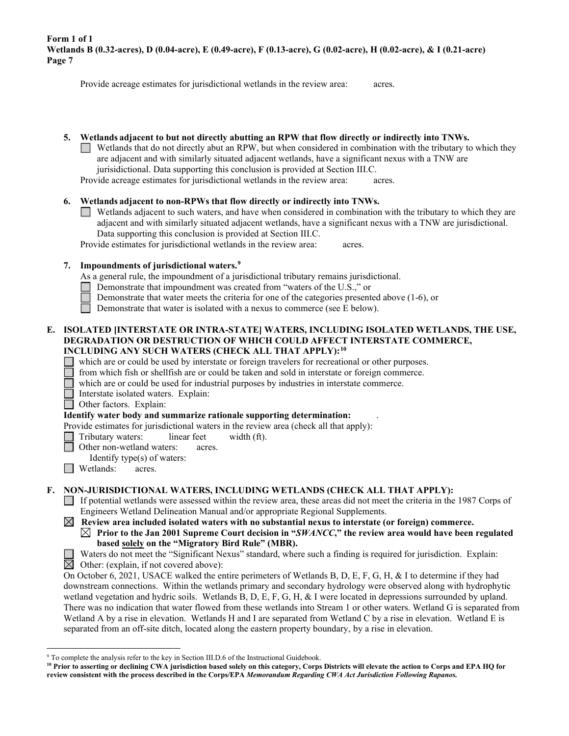Provide acreage estimates for jurisdictional wetlands in the review area: acres.

- **5. Wetlands adjacent to but not directly abutting an RPW that flow directly or indirectly into TNWs.**
	- Wetlands that do not directly abut an RPW, but when considered in combination with the tributary to which they are adjacent and with similarly situated adjacent wetlands, have a significant nexus with a TNW are jurisidictional. Data supporting this conclusion is provided at Section III.C.

Provide acreage estimates for jurisdictional wetlands in the review area: acres.

## **6. Wetlands adjacent to non-RPWs that flow directly or indirectly into TNWs.**

Wetlands adjacent to such waters, and have when considered in combination with the tributary to which they are adjacent and with similarly situated adjacent wetlands, have a significant nexus with a TNW are jurisdictional. Data supporting this conclusion is provided at Section III.C.

Provide estimates for jurisdictional wetlands in the review area: acres.

# **7. Impoundments of jurisdictional waters. [9](#page-6-0)**

- As a general rule, the impoundment of a jurisdictional tributary remains jurisdictional.
- Demonstrate that impoundment was created from "waters of the U.S.," or
- Demonstrate that water meets the criteria for one of the categories presented above (1-6), or
- Demonstrate that water is isolated with a nexus to commerce (see E below).

#### **E. ISOLATED [INTERSTATE OR INTRA-STATE] WATERS, INCLUDING ISOLATED WETLANDS, THE USE, DEGRADATION OR DESTRUCTION OF WHICH COULD AFFECT INTERSTATE COMMERCE, INCLUDING ANY SUCH WATERS (CHECK ALL THAT APPLY):[10](#page-6-1)**

- which are or could be used by interstate or foreign travelers for recreational or other purposes.
- from which fish or shellfish are or could be taken and sold in interstate or foreign commerce.
- which are or could be used for industrial purposes by industries in interstate commerce.
- Interstate isolated waters.Explain:
- Other factors.Explain:

## **Identify water body and summarize rationale supporting determination:** .

- Provide estimates for jurisdictional waters in the review area (check all that apply):
	- Tributary waters: linear feet width (ft).
	- Other non-wetland waters: acres.
	- Identify type(s) of waters:
- **I** Wetlands: acres.

## **F. NON-JURISDICTIONAL WATERS, INCLUDING WETLANDS (CHECK ALL THAT APPLY):**

If potential wetlands were assessed within the review area, these areas did not meet the criteria in the 1987 Corps of Engineers Wetland Delineation Manual and/or appropriate Regional Supplements.

 $\boxtimes$  Review area included isolated waters with no substantial nexus to interstate (or foreign) commerce.

 $\boxtimes$  Prior to the Jan 2001 Supreme Court decision in "*SWANCC*," the review area would have been regulated **based solely on the "Migratory Bird Rule" (MBR).** 



Waters do not meet the "Significant Nexus" standard, where such a finding is required for jurisdiction. Explain: Other: (explain, if not covered above):

On October 6, 2021, USACE walked the entire perimeters of Wetlands B, D, E, F, G, H, & I to determine if they had downstream connections. Within the wetlands primary and secondary hydrology were observed along with hydrophytic wetland vegetation and hydric soils. Wetlands B, D, E, F, G, H, & I were located in depressions surrounded by upland. There was no indication that water flowed from these wetlands into Stream 1 or other waters. Wetland G is separated from Wetland A by a rise in elevation. Wetlands H and I are separated from Wetland C by a rise in elevation. Wetland E is separated from an off-site ditch, located along the eastern property boundary, by a rise in elevation.

<span id="page-6-0"></span><sup>&</sup>lt;sup>9</sup> To complete the analysis refer to the key in Section III.D.6 of the Instructional Guidebook.

<span id="page-6-1"></span>**<sup>10</sup> Prior to asserting or declining CWA jurisdiction based solely on this category, Corps Districts will elevate the action to Corps and EPA HQ for review consistent with the process described in the Corps/EPA** *Memorandum Regarding CWA Act Jurisdiction Following Rapanos.*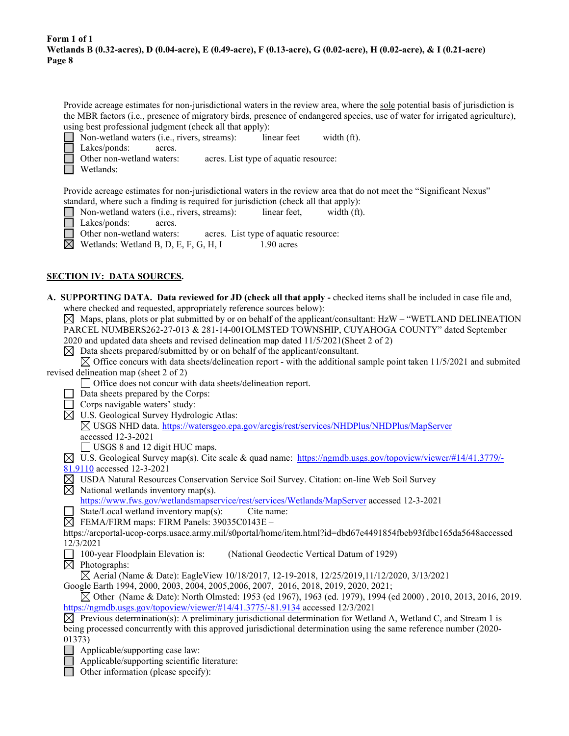Provide acreage estimates for non-jurisdictional waters in the review area, where the sole potential basis of jurisdiction is the MBR factors (i.e., presence of migratory birds, presence of endangered species, use of water for irrigated agriculture), using best professional judgment (check all that apply):

■ Non-wetland waters (i.e., rivers, streams): linear feet width (ft).

akes/ponds: acres.

ther non-wetland waters: acres. List type of aquatic resource:

Wetlands:

Provide acreage estimates for non-jurisdictional waters in the review area that do not meet the "Significant Nexus" standard, where such a finding is required for jurisdiction (check all that apply):

- Non-wetland waters (i.e., rivers, streams): linear feet, width (ft).
- Lakes/ponds: acres.

Other non-wetland waters: acres. List type of aquatic resource:

 $\boxtimes$  Wetlands: Wetland B, D, E, F, G, H, I 1.90 acres

# **SECTION IV: DATA SOURCES.**

**A. SUPPORTING DATA. Data reviewed for JD (check all that apply -** checked items shall be included in case file and, where checked and requested, appropriately reference sources below):  $\boxtimes$  Maps, plans, plots or plat submitted by or on behalf of the applicant/consultant: HzW – "WETLAND DELINEATION PARCEL NUMBERS262-27-013 & 281-14-001OLMSTED TOWNSHIP, CUYAHOGA COUNTY" dated September 2020 and updated data sheets and revised delineation map dated 11/5/2021(Sheet 2 of 2)  $\boxtimes$  Data sheets prepared/submitted by or on behalf of the applicant/consultant.  $\boxtimes$  Office concurs with data sheets/delineation report - with the additional sample point taken 11/5/2021 and submited revised delineation map (sheet 2 of 2) Office does not concur with data sheets/delineation report. Data sheets prepared by the Corps:  $\Box$  Corps navigable waters' study:  $\boxtimes$  U.S. Geological Survey Hydrologic Atlas: USGS NHD data. <https://watersgeo.epa.gov/arcgis/rest/services/NHDPlus/NHDPlus/MapServer> accessed 12-3-2021 USGS 8 and 12 digit HUC maps.  $\boxtimes$  U.S. Geological Survey map(s). Cite scale & quad name: [https://ngmdb.usgs.gov/topoview/viewer/#14/41.3779/-](https://ngmdb.usgs.gov/topoview/viewer/#14/41.3779/-81.9110) [81.9110](https://ngmdb.usgs.gov/topoview/viewer/#14/41.3779/-81.9110) accessed 12-3-2021 USDA Natural Resources Conservation Service Soil Survey. Citation: on-line Web Soil Survey  $\boxtimes$  National wetlands inventory map(s). <https://www.fws.gov/wetlandsmapservice/rest/services/Wetlands/MapServer> accessed 12-3-2021 State/Local wetland inventory map(s): Cite name:  $\boxtimes$  FEMA/FIRM maps: FIRM Panels: 39035C0143E – https://arcportal-ucop-corps.usace.army.mil/s0portal/home/item.html?id=dbd67e4491854fbeb93fdbc165da5648accessed 12/3/2021 100-year Floodplain Elevation is: (National Geodectic Vertical Datum of 1929)  $\overline{\boxtimes}$  Photographs:  $\boxtimes$  Aerial (Name & Date): EagleView 10/18/2017, 12-19-2018, 12/25/2019,11/12/2020, 3/13/2021 Google Earth 1994, 2000, 2003, 2004, 2005,2006, 2007, 2016, 2018, 2019, 2020, 2021;  $\boxtimes$  Other (Name & Date): North Olmsted: 1953 (ed 1967), 1963 (ed. 1979), 1994 (ed 2000), 2010, 2013, 2016, 2019. <https://ngmdb.usgs.gov/topoview/viewer/#14/41.3775/-81.9134> accessed 12/3/2021  $\boxtimes$  Previous determination(s): A preliminary jurisdictional determination for Wetland A, Wetland C, and Stream 1 is being processed concurrently with this approved jurisdictional determination using the same reference number (2020- 01373)  $\Box$  Applicable/supporting case law: Applicable/supporting scientific literature:  $\Box$  Other information (please specify):